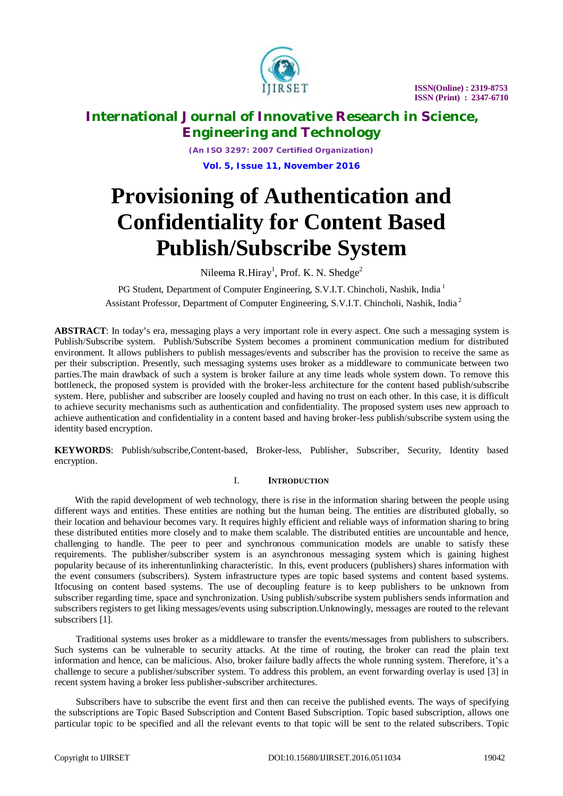

# **International Journal of Innovative Research in Science, Engineering and Technology**

*(An ISO 3297: 2007 Certified Organization)* **Vol. 5, Issue 11, November 2016**

# **Provisioning of Authentication and Confidentiality for Content Based Publish/Subscribe System**

Nileema R.Hiray<sup>1</sup>, Prof. K. N. Shedge<sup>2</sup>

PG Student, Department of Computer Engineering, S.V.I.T. Chincholi, Nashik, India<sup>1</sup> Assistant Professor, Department of Computer Engineering, S.V.I.T. Chincholi, Nashik, India <sup>2</sup>

**ABSTRACT**: In today's era, messaging plays a very important role in every aspect. One such a messaging system is Publish/Subscribe system. Publish/Subscribe System becomes a prominent communication medium for distributed environment. It allows publishers to publish messages/events and subscriber has the provision to receive the same as per their subscription. Presently, such messaging systems uses broker as a middleware to communicate between two parties.The main drawback of such a system is broker failure at any time leads whole system down. To remove this bottleneck, the proposed system is provided with the broker-less architecture for the content based publish/subscribe system. Here, publisher and subscriber are loosely coupled and having no trust on each other. In this case, it is difficult to achieve security mechanisms such as authentication and confidentiality. The proposed system uses new approach to achieve authentication and confidentiality in a content based and having broker-less publish/subscribe system using the identity based encryption.

**KEYWORDS**: Publish/subscribe,Content-based, Broker-less, Publisher, Subscriber, Security, Identity based encryption.

### I. **INTRODUCTION**

With the rapid development of web technology, there is rise in the information sharing between the people using different ways and entities. These entities are nothing but the human being. The entities are distributed globally, so their location and behaviour becomes vary. It requires highly efficient and reliable ways of information sharing to bring these distributed entities more closely and to make them scalable. The distributed entities are uncountable and hence, challenging to handle. The peer to peer and synchronous communication models are unable to satisfy these requirements. The publisher/subscriber system is an asynchronous messaging system which is gaining highest popularity because of its inherentunlinking characteristic. In this, event producers (publishers) shares information with the event consumers (subscribers). System infrastructure types are topic based systems and content based systems. Itfocusing on content based systems. The use of decoupling feature is to keep publishers to be unknown from subscriber regarding time, space and synchronization. Using publish/subscribe system publishers sends information and subscribers registers to get liking messages/events using subscription.Unknowingly, messages are routed to the relevant subscribers [1].

Traditional systems uses broker as a middleware to transfer the events/messages from publishers to subscribers. Such systems can be vulnerable to security attacks. At the time of routing, the broker can read the plain text information and hence, can be malicious. Also, broker failure badly affects the whole running system. Therefore, it's a challenge to secure a publisher/subscriber system. To address this problem, an event forwarding overlay is used [3] in recent system having a broker less publisher-subscriber architectures.

Subscribers have to subscribe the event first and then can receive the published events. The ways of specifying the subscriptions are Topic Based Subscription and Content Based Subscription. Topic based subscription, allows one particular topic to be specified and all the relevant events to that topic will be sent to the related subscribers. Topic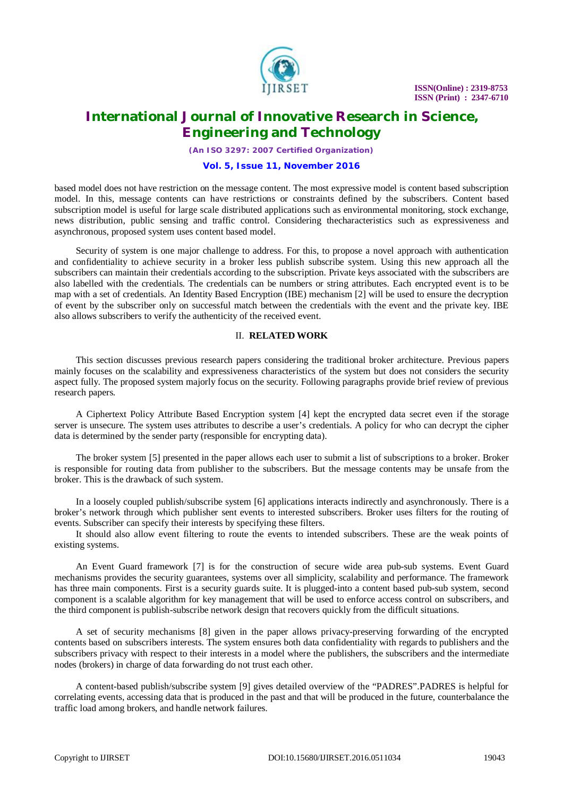

# **International Journal of Innovative Research in Science, Engineering and Technology**

*(An ISO 3297: 2007 Certified Organization)*

#### **Vol. 5, Issue 11, November 2016**

based model does not have restriction on the message content. The most expressive model is content based subscription model. In this, message contents can have restrictions or constraints defined by the subscribers. Content based subscription model is useful for large scale distributed applications such as environmental monitoring, stock exchange, news distribution, public sensing and traffic control. Considering thecharacteristics such as expressiveness and asynchronous, proposed system uses content based model.

Security of system is one major challenge to address. For this, to propose a novel approach with authentication and confidentiality to achieve security in a broker less publish subscribe system. Using this new approach all the subscribers can maintain their credentials according to the subscription. Private keys associated with the subscribers are also labelled with the credentials. The credentials can be numbers or string attributes. Each encrypted event is to be map with a set of credentials. An Identity Based Encryption (IBE) mechanism [2] will be used to ensure the decryption of event by the subscriber only on successful match between the credentials with the event and the private key. IBE also allows subscribers to verify the authenticity of the received event.

### II. **RELATED WORK**

This section discusses previous research papers considering the traditional broker architecture. Previous papers mainly focuses on the scalability and expressiveness characteristics of the system but does not considers the security aspect fully. The proposed system majorly focus on the security. Following paragraphs provide brief review of previous research papers.

A Ciphertext Policy Attribute Based Encryption system [4] kept the encrypted data secret even if the storage server is unsecure. The system uses attributes to describe a user's credentials. A policy for who can decrypt the cipher data is determined by the sender party (responsible for encrypting data).

The broker system [5] presented in the paper allows each user to submit a list of subscriptions to a broker. Broker is responsible for routing data from publisher to the subscribers. But the message contents may be unsafe from the broker. This is the drawback of such system.

In a loosely coupled publish/subscribe system [6] applications interacts indirectly and asynchronously. There is a broker's network through which publisher sent events to interested subscribers. Broker uses filters for the routing of events. Subscriber can specify their interests by specifying these filters.

It should also allow event filtering to route the events to intended subscribers. These are the weak points of existing systems.

An Event Guard framework [7] is for the construction of secure wide area pub-sub systems. Event Guard mechanisms provides the security guarantees, systems over all simplicity, scalability and performance. The framework has three main components. First is a security guards suite. It is plugged-into a content based pub-sub system, second component is a scalable algorithm for key management that will be used to enforce access control on subscribers, and the third component is publish-subscribe network design that recovers quickly from the difficult situations.

A set of security mechanisms [8] given in the paper allows privacy-preserving forwarding of the encrypted contents based on subscribers interests. The system ensures both data confidentiality with regards to publishers and the subscribers privacy with respect to their interests in a model where the publishers, the subscribers and the intermediate nodes (brokers) in charge of data forwarding do not trust each other.

A content-based publish/subscribe system [9] gives detailed overview of the "PADRES".PADRES is helpful for correlating events, accessing data that is produced in the past and that will be produced in the future, counterbalance the traffic load among brokers, and handle network failures.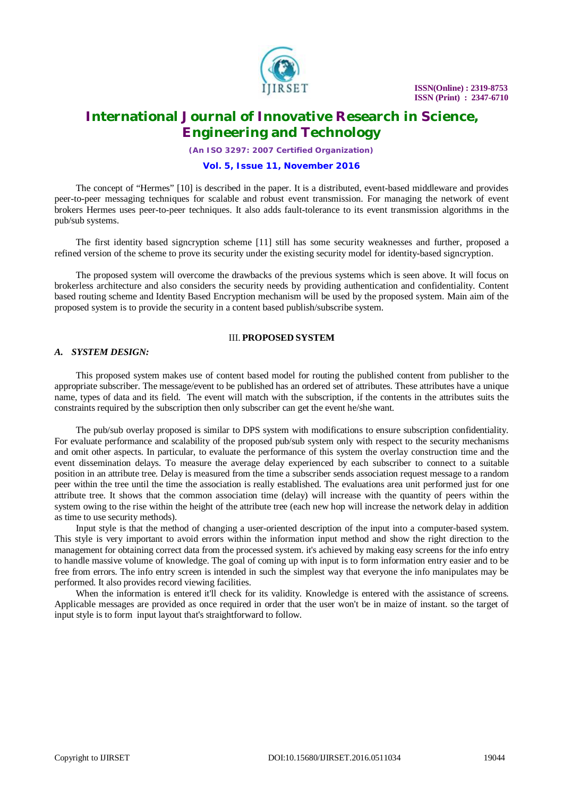

# **International Journal of Innovative Research in Science, Engineering and Technology**

*(An ISO 3297: 2007 Certified Organization)*

#### **Vol. 5, Issue 11, November 2016**

The concept of "Hermes" [10] is described in the paper. It is a distributed, event-based middleware and provides peer-to-peer messaging techniques for scalable and robust event transmission. For managing the network of event brokers Hermes uses peer-to-peer techniques. It also adds fault-tolerance to its event transmission algorithms in the pub/sub systems.

The first identity based signcryption scheme [11] still has some security weaknesses and further, proposed a refined version of the scheme to prove its security under the existing security model for identity-based signcryption.

The proposed system will overcome the drawbacks of the previous systems which is seen above. It will focus on brokerless architecture and also considers the security needs by providing authentication and confidentiality. Content based routing scheme and Identity Based Encryption mechanism will be used by the proposed system. Main aim of the proposed system is to provide the security in a content based publish/subscribe system.

### III. **PROPOSED SYSTEM**

### *A. SYSTEM DESIGN:*

This proposed system makes use of content based model for routing the published content from publisher to the appropriate subscriber. The message/event to be published has an ordered set of attributes. These attributes have a unique name, types of data and its field. The event will match with the subscription, if the contents in the attributes suits the constraints required by the subscription then only subscriber can get the event he/she want.

The pub/sub overlay proposed is similar to DPS system with modifications to ensure subscription confidentiality. For evaluate performance and scalability of the proposed pub/sub system only with respect to the security mechanisms and omit other aspects. In particular, to evaluate the performance of this system the overlay construction time and the event dissemination delays. To measure the average delay experienced by each subscriber to connect to a suitable position in an attribute tree. Delay is measured from the time a subscriber sends association request message to a random peer within the tree until the time the association is really established. The evaluations area unit performed just for one attribute tree. It shows that the common association time (delay) will increase with the quantity of peers within the system owing to the rise within the height of the attribute tree (each new hop will increase the network delay in addition as time to use security methods).

Input style is that the method of changing a user-oriented description of the input into a computer-based system. This style is very important to avoid errors within the information input method and show the right direction to the management for obtaining correct data from the processed system. it's achieved by making easy screens for the info entry to handle massive volume of knowledge. The goal of coming up with input is to form information entry easier and to be free from errors. The info entry screen is intended in such the simplest way that everyone the info manipulates may be performed. It also provides record viewing facilities.

When the information is entered it'll check for its validity. Knowledge is entered with the assistance of screens. Applicable messages are provided as once required in order that the user won't be in maize of instant. so the target of input style is to form input layout that's straightforward to follow.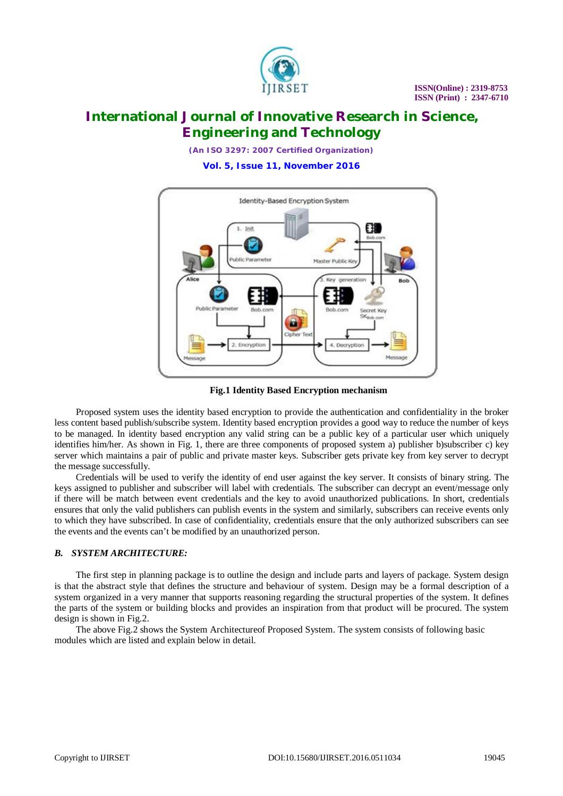

*(An ISO 3297: 2007 Certified Organization)* **Vol. 5, Issue 11, November 2016**



**Fig.1 Identity Based Encryption mechanism**

Proposed system uses the identity based encryption to provide the authentication and confidentiality in the broker less content based publish/subscribe system. Identity based encryption provides a good way to reduce the number of keys to be managed. In identity based encryption any valid string can be a public key of a particular user which uniquely identifies him/her. As shown in Fig. 1, there are three components of proposed system a) publisher b)subscriber c) key server which maintains a pair of public and private master keys. Subscriber gets private key from key server to decrypt the message successfully.

Credentials will be used to verify the identity of end user against the key server. It consists of binary string. The keys assigned to publisher and subscriber will label with credentials. The subscriber can decrypt an event/message only if there will be match between event credentials and the key to avoid unauthorized publications. In short, credentials ensures that only the valid publishers can publish events in the system and similarly, subscribers can receive events only to which they have subscribed. In case of confidentiality, credentials ensure that the only authorized subscribers can see the events and the events can't be modified by an unauthorized person.

# *B. SYSTEM ARCHITECTURE:*

The first step in planning package is to outline the design and include parts and layers of package. System design is that the abstract style that defines the structure and behaviour of system. Design may be a formal description of a system organized in a very manner that supports reasoning regarding the structural properties of the system. It defines the parts of the system or building blocks and provides an inspiration from that product will be procured. The system design is shown in Fig.2.

The above Fig.2 shows the System Architectureof Proposed System. The system consists of following basic modules which are listed and explain below in detail.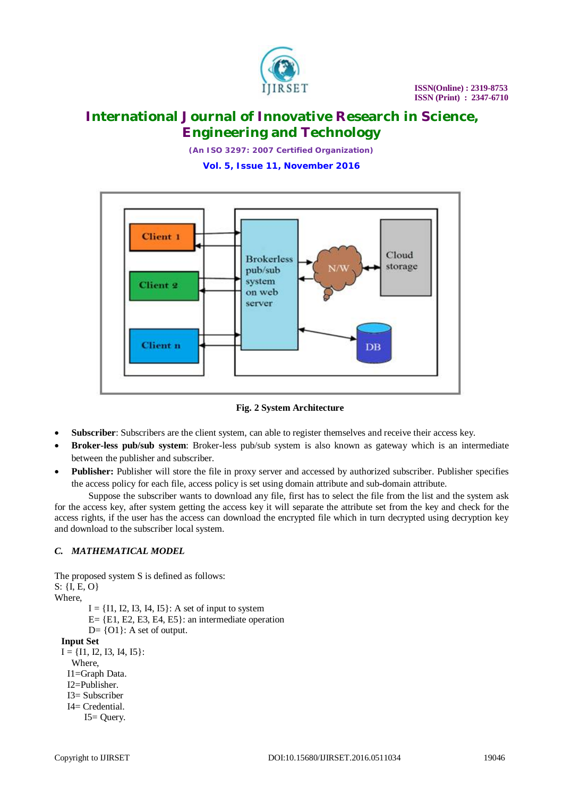

*(An ISO 3297: 2007 Certified Organization)* **Vol. 5, Issue 11, November 2016**



**Fig. 2 System Architecture**

- **Subscriber**: Subscribers are the client system, can able to register themselves and receive their access key.
- **Broker-less pub/sub system**: Broker-less pub/sub system is also known as gateway which is an intermediate between the publisher and subscriber.
- **Publisher:** Publisher will store the file in proxy server and accessed by authorized subscriber. Publisher specifies the access policy for each file, access policy is set using domain attribute and sub-domain attribute.

Suppose the subscriber wants to download any file, first has to select the file from the list and the system ask for the access key, after system getting the access key it will separate the attribute set from the key and check for the access rights, if the user has the access can download the encrypted file which in turn decrypted using decryption key and download to the subscriber local system.

# *C. MATHEMATICAL MODEL*

The proposed system S is defined as follows:  $S: \{I, E, O\}$ Where,  $I = \{I1, I2, I3, I4, I5\}$ : A set of input to system  $E = \{E1, E2, E3, E4, E5\}$ : an intermediate operation  $D = \{O1\}$ : A set of output. **Input Set**  $I = \{I1, I2, I3, I4, I5\}$ : Where, I1=Graph Data. I2=Publisher. I3= Subscriber I4= Credential. I5= Query.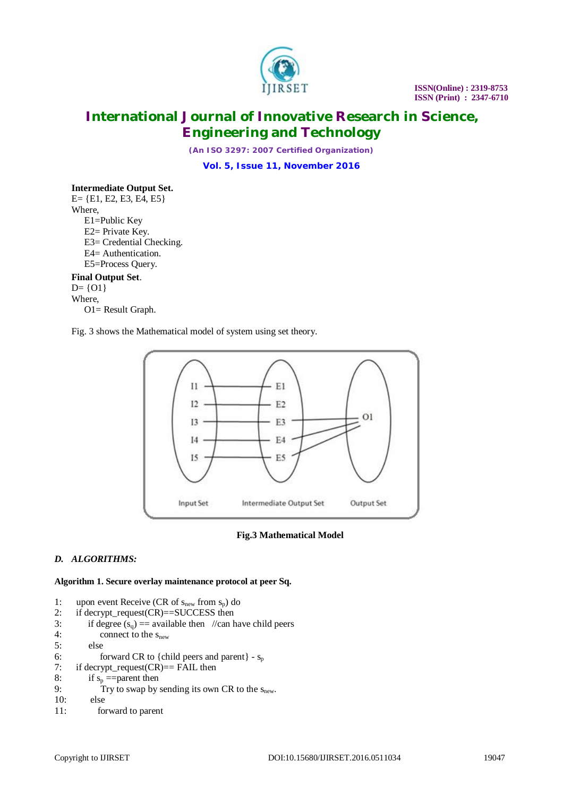

*(An ISO 3297: 2007 Certified Organization)* **Vol. 5, Issue 11, November 2016**

# **Intermediate Output Set.**

E= {E1, E2, E3, E4, E5} Where, E1=Public Key E2= Private Key. E3= Credential Checking. E4= Authentication. E5=Process Query. **Final Output Set**.

# $D = \{01\}$

Where,

O1= Result Graph.

Fig. 3 shows the Mathematical model of system using set theory.



### **Fig.3 Mathematical Model**

# *D. ALGORITHMS:*

**Algorithm 1. Secure overlay maintenance protocol at peer Sq.**

1: upon event Receive (CR of  $s_{new}$  from  $s_p$ ) do 2: if decrypt\_request(CR)==SUCCESS then 3: if degree  $(s_q)$  = available then //can have child peers 4: connect to the s<sub>new</sub> 4: connect to the  $s_{new}$ <br>5: else else 6: forward CR to {child peers and parent} -  $s_p$ <br>7: if decrypt\_request(CR)== FAIL then  $if$  decrypt\_request $(CR) ==$  FAIL then 8: if  $s_p$  ==parent then<br>9: Try to swap by: Try to swap by sending its own CR to the  $s_{new}$ . 10: else 11: forward to parent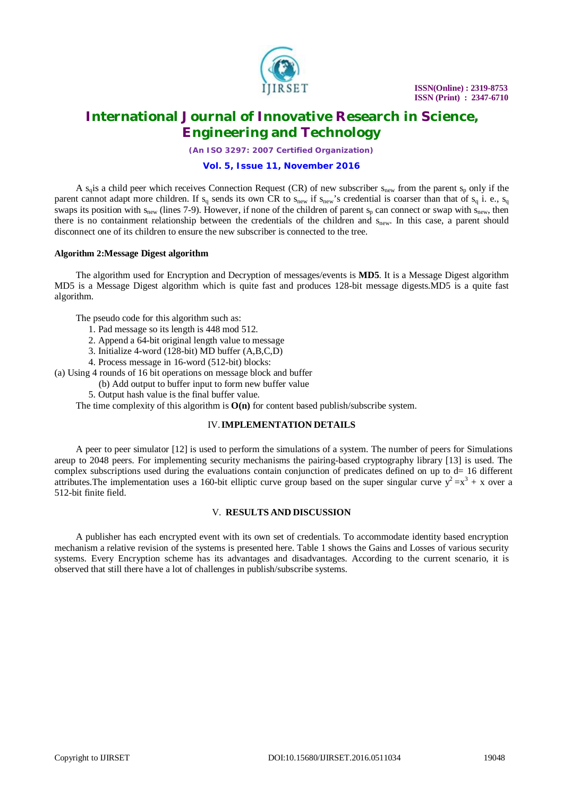

# **International Journal of Innovative Research in Science, Engineering and Technology**

*(An ISO 3297: 2007 Certified Organization)*

### **Vol. 5, Issue 11, November 2016**

A s<sub>q</sub>is a child peer which receives Connection Request (CR) of new subscriber  $s_{new}$  from the parent  $s_p$  only if the parent cannot adapt more children. If  $s_q$  sends its own CR to  $s_{new}$  if  $s_{new}$ 's credential is coarser than that of  $s_q$  i. e.,  $s_q$ swaps its position with  $s_{new}$  (lines 7-9). However, if none of the children of parent  $s_p$  can connect or swap with  $s_{new}$ , then there is no containment relationship between the credentials of the children and s<sub>new</sub>. In this case, a parent should disconnect one of its children to ensure the new subscriber is connected to the tree.

### **Algorithm 2:Message Digest algorithm**

The algorithm used for Encryption and Decryption of messages/events is **MD5**. It is a Message Digest algorithm MD5 is a Message Digest algorithm which is quite fast and produces 128-bit message digests.MD5 is a quite fast algorithm.

The pseudo code for this algorithm such as:

- 1. Pad message so its length is 448 mod 512.
- 2. Append a 64-bit original length value to message
- 3. Initialize 4-word (128-bit) MD buffer (A,B,C,D)
- 4. Process message in 16-word (512-bit) blocks:

(a) Using 4 rounds of 16 bit operations on message block and buffer

- (b) Add output to buffer input to form new buffer value
- 5. Output hash value is the final buffer value.

The time complexity of this algorithm is **O(n)** for content based publish/subscribe system.

## IV.**IMPLEMENTATION DETAILS**

A peer to peer simulator [12] is used to perform the simulations of a system. The number of peers for Simulations areup to 2048 peers. For implementing security mechanisms the pairing-based cryptography library [13] is used. The complex subscriptions used during the evaluations contain conjunction of predicates defined on up to d= 16 different attributes. The implementation uses a 160-bit elliptic curve group based on the super singular curve  $y^2 = x^3 + x$  over a 512-bit finite field.

### V. **RESULTS AND DISCUSSION**

A publisher has each encrypted event with its own set of credentials. To accommodate identity based encryption mechanism a relative revision of the systems is presented here. Table 1 shows the Gains and Losses of various security systems. Every Encryption scheme has its advantages and disadvantages. According to the current scenario, it is observed that still there have a lot of challenges in publish/subscribe systems.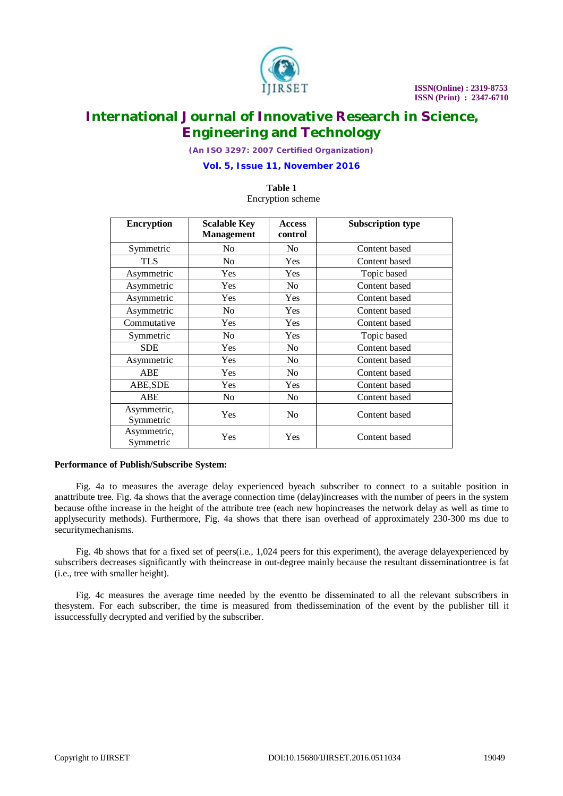

*(An ISO 3297: 2007 Certified Organization)*

### **Vol. 5, Issue 11, November 2016**

### **Table 1** Encryption scheme

| <b>Encryption</b>        | <b>Scalable Key</b><br><b>Management</b> | <b>Access</b><br>control | <b>Subscription type</b> |
|--------------------------|------------------------------------------|--------------------------|--------------------------|
| Symmetric                | No                                       | No.                      | Content based            |
| TLS                      | No.                                      | <b>Yes</b>               | Content based            |
| Asymmetric               | Yes                                      | Yes                      | Topic based              |
| Asymmetric               | Yes                                      | N <sub>0</sub>           | Content based            |
| Asymmetric               | Yes                                      | <b>Yes</b>               | Content based            |
| Asymmetric               | No.                                      | <b>Yes</b>               | Content based            |
| Commutative              | Yes                                      | Yes                      | Content based            |
| Symmetric                | N <sub>0</sub>                           | Yes                      | Topic based              |
| <b>SDE</b>               | Yes                                      | N <sub>0</sub>           | Content based            |
| Asymmetric               | Yes                                      | N <sub>0</sub>           | Content based            |
| <b>ABE</b>               | Yes                                      | N <sub>0</sub>           | Content based            |
| ABE, SDE                 | Yes                                      | Yes                      | Content based            |
| <b>ABE</b>               | N <sub>0</sub>                           | N <sub>0</sub>           | Content based            |
| Asymmetric,<br>Symmetric | Yes                                      | No.                      | Content based            |
| Asymmetric,<br>Symmetric | Yes                                      | Yes                      | Content based            |

### **Performance of Publish/Subscribe System:**

Fig. 4a to measures the average delay experienced byeach subscriber to connect to a suitable position in anattribute tree. Fig. 4a shows that the average connection time (delay)increases with the number of peers in the system because ofthe increase in the height of the attribute tree (each new hopincreases the network delay as well as time to applysecurity methods). Furthermore, Fig. 4a shows that there isan overhead of approximately 230-300 ms due to securitymechanisms.

Fig. 4b shows that for a fixed set of peers(i.e., 1,024 peers for this experiment), the average delayexperienced by subscribers decreases significantly with theincrease in out-degree mainly because the resultant disseminationtree is fat (i.e., tree with smaller height).

Fig. 4c measures the average time needed by the eventto be disseminated to all the relevant subscribers in thesystem. For each subscriber, the time is measured from thedissemination of the event by the publisher till it issuccessfully decrypted and verified by the subscriber.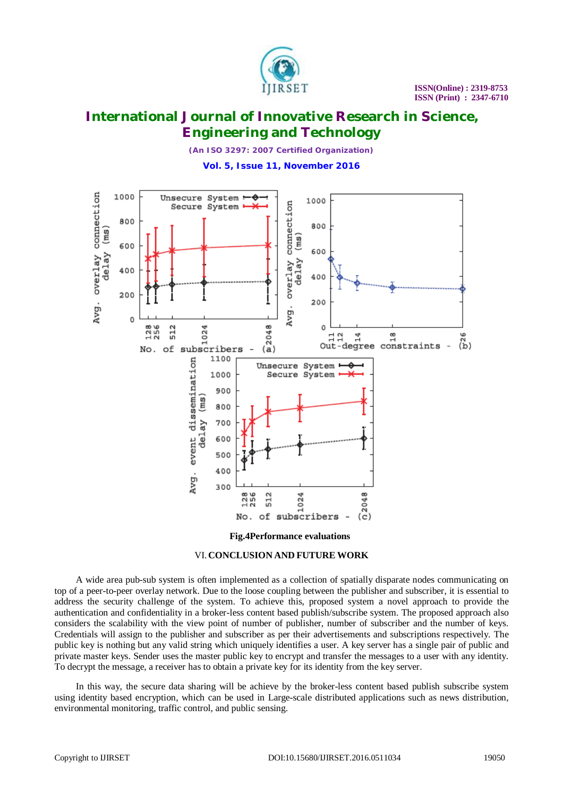

*(An ISO 3297: 2007 Certified Organization)* **Vol. 5, Issue 11, November 2016**



**Fig.4Performance evaluations**



A wide area pub-sub system is often implemented as a collection of spatially disparate nodes communicating on top of a peer-to-peer overlay network. Due to the loose coupling between the publisher and subscriber, it is essential to address the security challenge of the system. To achieve this, proposed system a novel approach to provide the authentication and confidentiality in a broker-less content based publish/subscribe system. The proposed approach also considers the scalability with the view point of number of publisher, number of subscriber and the number of keys. Credentials will assign to the publisher and subscriber as per their advertisements and subscriptions respectively. The public key is nothing but any valid string which uniquely identifies a user. A key server has a single pair of public and private master keys. Sender uses the master public key to encrypt and transfer the messages to a user with any identity. To decrypt the message, a receiver has to obtain a private key for its identity from the key server.

In this way, the secure data sharing will be achieve by the broker-less content based publish subscribe system using identity based encryption, which can be used in Large-scale distributed applications such as news distribution, environmental monitoring, traffic control, and public sensing.